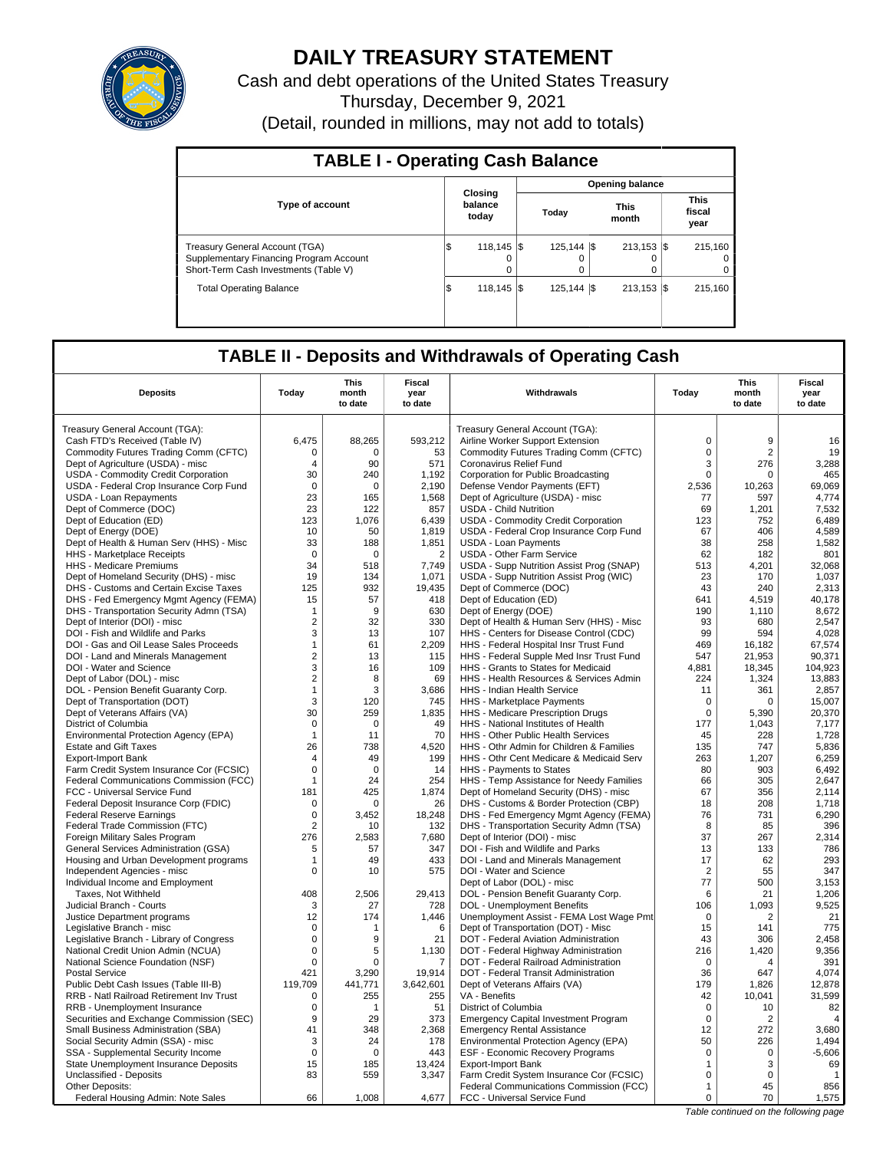

# **DAILY TREASURY STATEMENT**

Cash and debt operations of the United States Treasury Thursday, December 9, 2021 (Detail, rounded in millions, may not add to totals)

| <b>TABLE I - Operating Cash Balance</b>                                                                                   |     |                             |  |                    |  |                           |  |                                 |  |  |  |
|---------------------------------------------------------------------------------------------------------------------------|-----|-----------------------------|--|--------------------|--|---------------------------|--|---------------------------------|--|--|--|
|                                                                                                                           |     |                             |  |                    |  | <b>Opening balance</b>    |  |                                 |  |  |  |
| <b>Type of account</b>                                                                                                    |     | Closing<br>balance<br>today |  | Today              |  | <b>This</b><br>month      |  | <b>This</b><br>fiscal<br>year   |  |  |  |
| <b>Treasury General Account (TGA)</b><br>Supplementary Financing Program Account<br>Short-Term Cash Investments (Table V) | I\$ | $118.145$ \\$<br>$\Omega$   |  | $125,144$ \\$<br>0 |  | $213.153$ $\sqrt{5}$<br>0 |  | 215.160<br>$\Omega$<br>$\Omega$ |  |  |  |
| <b>Total Operating Balance</b>                                                                                            | l\$ | 118.145   \$                |  | $125.144$ \\$      |  | $213.153$ $\sqrt{5}$      |  | 215.160                         |  |  |  |

## **TABLE II - Deposits and Withdrawals of Operating Cash**

|                                                                       |                     | <b>This</b>      | <b>Fiscal</b>   |                                                                                |                   | <b>This</b>                           | <b>Fiscal</b>     |
|-----------------------------------------------------------------------|---------------------|------------------|-----------------|--------------------------------------------------------------------------------|-------------------|---------------------------------------|-------------------|
| <b>Deposits</b>                                                       | Today               | month<br>to date | year<br>to date | Withdrawals                                                                    | Today             | month<br>to date                      | year<br>to date   |
| Treasury General Account (TGA):                                       |                     |                  |                 | Treasury General Account (TGA):                                                |                   |                                       |                   |
| Cash FTD's Received (Table IV)                                        | 6,475               | 88,265           | 593,212         | Airline Worker Support Extension                                               | $\mathbf 0$       | 9                                     | 16                |
| Commodity Futures Trading Comm (CFTC)                                 | $\Omega$            | $\Omega$         | 53              | Commodity Futures Trading Comm (CFTC)                                          | $\Omega$          | $\overline{2}$                        | 19                |
| Dept of Agriculture (USDA) - misc                                     | $\overline{4}$      | 90               | 571             | Coronavirus Relief Fund                                                        | 3                 | 276                                   | 3,288             |
| USDA - Commodity Credit Corporation                                   | 30                  | 240              | 1,192           | Corporation for Public Broadcasting                                            | 0                 | $\Omega$                              | 465               |
| USDA - Federal Crop Insurance Corp Fund                               | $\Omega$            | $\Omega$         | 2,190           | Defense Vendor Payments (EFT)                                                  | 2,536             | 10,263                                | 69,069            |
| USDA - Loan Repayments                                                | 23                  | 165              | 1,568           | Dept of Agriculture (USDA) - misc                                              | 77                | 597                                   | 4,774             |
| Dept of Commerce (DOC)                                                | 23                  | 122              | 857             | <b>USDA - Child Nutrition</b>                                                  | 69                | 1,201                                 | 7,532             |
| Dept of Education (ED)                                                | 123                 | 1.076            | 6,439           | USDA - Commodity Credit Corporation                                            | 123               | 752                                   | 6.489             |
| Dept of Energy (DOE)                                                  | 10                  | 50               | 1,819           | USDA - Federal Crop Insurance Corp Fund                                        | 67                | 406                                   | 4,589             |
| Dept of Health & Human Serv (HHS) - Misc                              | 33                  | 188              | 1,851           | <b>USDA - Loan Payments</b>                                                    | 38                | 258                                   | 1.582             |
| HHS - Marketplace Receipts                                            | $\mathbf 0$         | $\Omega$         | $\overline{2}$  | <b>USDA - Other Farm Service</b>                                               | 62                | 182                                   | 801               |
| HHS - Medicare Premiums                                               | 34                  | 518              | 7,749           | USDA - Supp Nutrition Assist Prog (SNAP)                                       | 513               | 4,201                                 | 32.068            |
| Dept of Homeland Security (DHS) - misc                                | 19                  | 134              | 1,071           | USDA - Supp Nutrition Assist Prog (WIC)                                        | 23                | 170                                   | 1,037             |
| DHS - Customs and Certain Excise Taxes                                | 125                 | 932              | 19.435          | Dept of Commerce (DOC)                                                         | 43                | 240                                   | 2.313             |
| DHS - Fed Emergency Mgmt Agency (FEMA)                                | 15                  | 57               | 418             | Dept of Education (ED)                                                         | 641               | 4,519                                 | 40,178            |
| DHS - Transportation Security Admn (TSA)                              | $\mathbf{1}$        | 9                | 630             | Dept of Energy (DOE)                                                           | 190               | 1,110                                 | 8,672             |
| Dept of Interior (DOI) - misc                                         | $\overline{2}$      | 32               | 330             | Dept of Health & Human Serv (HHS) - Misc                                       | 93                | 680                                   | 2,547             |
| DOI - Fish and Wildlife and Parks                                     | 3                   | 13               | 107             | HHS - Centers for Disease Control (CDC)                                        | 99                | 594                                   | 4,028             |
| DOI - Gas and Oil Lease Sales Proceeds                                | $\mathbf{1}$        | 61               | 2,209           | HHS - Federal Hospital Insr Trust Fund                                         | 469               | 16,182                                | 67,574            |
| DOI - Land and Minerals Management                                    | $\overline{2}$      | 13               | 115             | HHS - Federal Supple Med Insr Trust Fund                                       | 547               | 21,953                                | 90,371            |
| DOI - Water and Science                                               | 3<br>$\overline{2}$ | 16<br>8          | 109<br>69       | HHS - Grants to States for Medicaid<br>HHS - Health Resources & Services Admin | 4,881             | 18,345                                | 104,923<br>13.883 |
| Dept of Labor (DOL) - misc<br>DOL - Pension Benefit Guaranty Corp.    | $\mathbf{1}$        | 3                | 3,686           | HHS - Indian Health Service                                                    | 224<br>11         | 1.324<br>361                          | 2,857             |
| Dept of Transportation (DOT)                                          | 3                   | 120              | 745             | HHS - Marketplace Payments                                                     | 0                 | $\mathbf 0$                           | 15,007            |
| Dept of Veterans Affairs (VA)                                         | 30                  | 259              | 1,835           | HHS - Medicare Prescription Drugs                                              | $\Omega$          | 5,390                                 | 20,370            |
| District of Columbia                                                  | $\mathbf 0$         | $\Omega$         | 49              | HHS - National Institutes of Health                                            | 177               | 1.043                                 | 7,177             |
| Environmental Protection Agency (EPA)                                 | $\mathbf{1}$        | 11               | 70              | HHS - Other Public Health Services                                             | 45                | 228                                   | 1,728             |
| <b>Estate and Gift Taxes</b>                                          | 26                  | 738              | 4,520           | HHS - Othr Admin for Children & Families                                       | 135               | 747                                   | 5,836             |
| <b>Export-Import Bank</b>                                             | $\overline{4}$      | 49               | 199             | HHS - Othr Cent Medicare & Medicaid Serv                                       | 263               | 1,207                                 | 6,259             |
| Farm Credit System Insurance Cor (FCSIC)                              | $\Omega$            | $\Omega$         | 14              | HHS - Payments to States                                                       | 80                | 903                                   | 6,492             |
| Federal Communications Commission (FCC)                               | $\mathbf{1}$        | 24               | 254             | HHS - Temp Assistance for Needy Families                                       | 66                | 305                                   | 2,647             |
| FCC - Universal Service Fund                                          | 181                 | 425              | 1,874           | Dept of Homeland Security (DHS) - misc                                         | 67                | 356                                   | 2,114             |
| Federal Deposit Insurance Corp (FDIC)                                 | 0                   | O                | 26              | DHS - Customs & Border Protection (CBP)                                        | 18                | 208                                   | 1,718             |
| <b>Federal Reserve Earnings</b>                                       | 0                   | 3.452            | 18,248          | DHS - Fed Emergency Mgmt Agency (FEMA)                                         | 76                | 731                                   | 6,290             |
| Federal Trade Commission (FTC)                                        | $\overline{2}$      | 10               | 132             | DHS - Transportation Security Admn (TSA)                                       | 8                 | 85                                    | 396               |
| Foreign Military Sales Program                                        | 276                 | 2,583            | 7,680           | Dept of Interior (DOI) - misc                                                  | 37                | 267                                   | 2,314             |
| <b>General Services Administration (GSA)</b>                          | 5                   | 57               | 347             | DOI - Fish and Wildlife and Parks                                              | 13                | 133                                   | 786               |
| Housing and Urban Development programs                                | 1                   | 49               | 433             | DOI - Land and Minerals Management                                             | 17                | 62                                    | 293               |
| Independent Agencies - misc                                           | 0                   | 10               | 575             | DOI - Water and Science                                                        | $\overline{2}$    | 55                                    | 347               |
| Individual Income and Employment                                      |                     |                  |                 | Dept of Labor (DOL) - misc                                                     | 77                | 500                                   | 3,153             |
| Taxes. Not Withheld                                                   | 408                 | 2.506            | 29.413          | DOL - Pension Benefit Guaranty Corp.                                           | 6                 | 21                                    | 1,206             |
| Judicial Branch - Courts                                              | 3                   | 27               | 728             | DOL - Unemployment Benefits                                                    | 106               | 1,093                                 | 9,525             |
| Justice Department programs                                           | 12<br>$\Omega$      | 174<br>1         | 1,446<br>6      | Unemployment Assist - FEMA Lost Wage Pmt                                       | $\mathbf 0$<br>15 | 2<br>141                              | 21<br>775         |
| Legislative Branch - misc<br>Legislative Branch - Library of Congress | 0                   | 9                | 21              | Dept of Transportation (DOT) - Misc<br>DOT - Federal Aviation Administration   | 43                | 306                                   | 2.458             |
| National Credit Union Admin (NCUA)                                    | 0                   | 5                | 1,130           | DOT - Federal Highway Administration                                           | 216               | 1,420                                 | 9,356             |
| National Science Foundation (NSF)                                     | $\mathbf 0$         | 0                | $\overline{7}$  | DOT - Federal Railroad Administration                                          | $\mathbf 0$       | $\overline{4}$                        | 391               |
| <b>Postal Service</b>                                                 | 421                 | 3,290            | 19,914          | DOT - Federal Transit Administration                                           | 36                | 647                                   | 4,074             |
| Public Debt Cash Issues (Table III-B)                                 | 119.709             | 441.771          | 3,642,601       | Dept of Veterans Affairs (VA)                                                  | 179               | 1.826                                 | 12,878            |
| RRB - Natl Railroad Retirement Inv Trust                              | 0                   | 255              | 255             | VA - Benefits                                                                  | 42                | 10,041                                | 31,599            |
| RRB - Unemployment Insurance                                          | 0                   | -1               | 51              | District of Columbia                                                           | $\mathbf 0$       | 10                                    | 82                |
| Securities and Exchange Commission (SEC)                              | 9                   | 29               | 373             | <b>Emergency Capital Investment Program</b>                                    | $\Omega$          | 2                                     | $\overline{4}$    |
| Small Business Administration (SBA)                                   | 41                  | 348              | 2.368           | <b>Emergency Rental Assistance</b>                                             | 12                | 272                                   | 3.680             |
| Social Security Admin (SSA) - misc                                    | 3                   | 24               | 178             | Environmental Protection Agency (EPA)                                          | 50                | 226                                   | 1,494             |
| SSA - Supplemental Security Income                                    | $\mathbf 0$         | $\mathbf 0$      | 443             | ESF - Economic Recovery Programs                                               | 0                 | $\mathbf 0$                           | $-5,606$          |
| State Unemployment Insurance Deposits                                 | 15                  | 185              | 13,424          | <b>Export-Import Bank</b>                                                      | 1                 | 3                                     | 69                |
| Unclassified - Deposits                                               | 83                  | 559              | 3,347           | Farm Credit System Insurance Cor (FCSIC)                                       | $\Omega$          | $\Omega$                              | $\mathbf{1}$      |
| Other Deposits:                                                       |                     |                  |                 | Federal Communications Commission (FCC)                                        | $\mathbf{1}$      | 45                                    | 856               |
| Federal Housing Admin: Note Sales                                     | 66                  | 1,008            | 4.677           | FCC - Universal Service Fund                                                   | 0                 | 70                                    | 1,575             |
|                                                                       |                     |                  |                 |                                                                                |                   | Table continued on the following page |                   |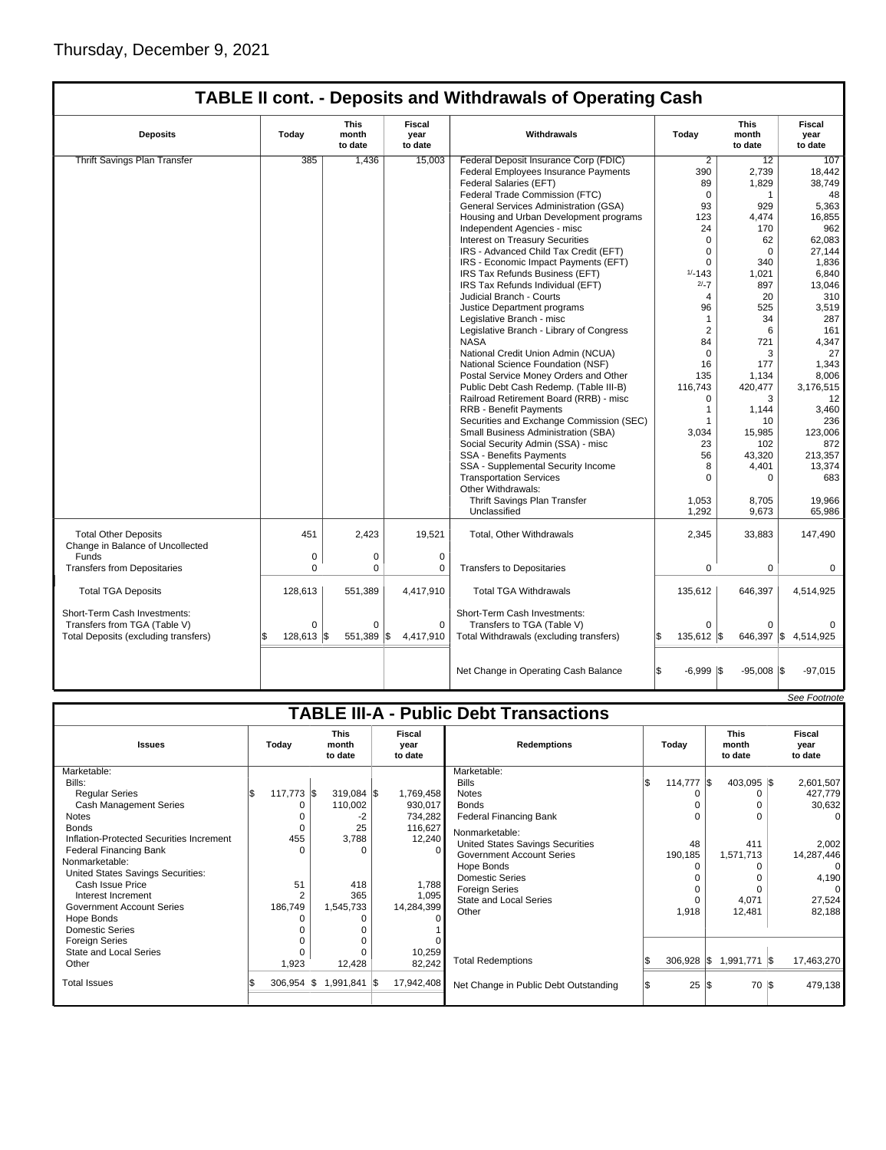| <b>TABLE II cont. - Deposits and Withdrawals of Operating Cash</b> |  |  |  |
|--------------------------------------------------------------------|--|--|--|
|--------------------------------------------------------------------|--|--|--|

| <b>Deposits</b>                                                 | Today      | <b>This</b><br>month<br>to date | <b>Fiscal</b><br>year<br>to date | Withdrawals                                          | Today                      | This<br>month<br>to date | <b>Fiscal</b><br>year<br>to date |
|-----------------------------------------------------------------|------------|---------------------------------|----------------------------------|------------------------------------------------------|----------------------------|--------------------------|----------------------------------|
| <b>Thrift Savings Plan Transfer</b>                             | 385        | 1,436                           | 15.003                           | Federal Deposit Insurance Corp (FDIC)                | $\overline{2}$             | 12                       | 107                              |
|                                                                 |            |                                 |                                  | Federal Employees Insurance Payments                 | 390                        | 2,739                    | 18,442                           |
|                                                                 |            |                                 |                                  | Federal Salaries (EFT)                               | 89                         | 1,829                    | 38,749                           |
|                                                                 |            |                                 |                                  | Federal Trade Commission (FTC)                       | $\Omega$                   | $\mathbf{1}$             | 48                               |
|                                                                 |            |                                 |                                  | General Services Administration (GSA)                | 93                         | 929                      | 5,363                            |
|                                                                 |            |                                 |                                  | Housing and Urban Development programs               | 123                        | 4,474                    | 16,855                           |
|                                                                 |            |                                 |                                  | Independent Agencies - misc                          | 24                         | 170                      | 962                              |
|                                                                 |            |                                 |                                  | <b>Interest on Treasury Securities</b>               | 0                          | 62                       | 62,083                           |
|                                                                 |            |                                 |                                  | IRS - Advanced Child Tax Credit (EFT)                | $\Omega$                   | $\Omega$                 | 27.144                           |
|                                                                 |            |                                 |                                  | IRS - Economic Impact Payments (EFT)                 | 0                          | 340                      | 1,836                            |
|                                                                 |            |                                 |                                  | IRS Tax Refunds Business (EFT)                       | $1/ - 143$                 | 1,021                    | 6,840                            |
|                                                                 |            |                                 |                                  | IRS Tax Refunds Individual (EFT)                     | $2/-7$                     | 897                      | 13,046                           |
|                                                                 |            |                                 |                                  | Judicial Branch - Courts                             | 4                          | 20                       | 310                              |
|                                                                 |            |                                 |                                  | Justice Department programs                          | 96                         | 525                      | 3,519                            |
|                                                                 |            |                                 |                                  | Legislative Branch - misc                            | $\mathbf{1}$               | 34                       | 287                              |
|                                                                 |            |                                 |                                  | Legislative Branch - Library of Congress             | $\overline{2}$             | 6                        | 161                              |
|                                                                 |            |                                 |                                  | <b>NASA</b>                                          | 84                         | 721                      | 4.347                            |
|                                                                 |            |                                 |                                  | National Credit Union Admin (NCUA)                   | $\mathbf 0$                | 3                        | 27                               |
|                                                                 |            |                                 |                                  | National Science Foundation (NSF)                    | 16                         | 177                      | 1,343                            |
|                                                                 |            |                                 |                                  | Postal Service Money Orders and Other                | 135                        | 1,134                    | 8,006                            |
|                                                                 |            |                                 |                                  | Public Debt Cash Redemp. (Table III-B)               | 116,743                    | 420,477                  | 3,176,515                        |
|                                                                 |            |                                 |                                  | Railroad Retirement Board (RRB) - misc               | $\Omega$                   | 3                        | 12                               |
|                                                                 |            |                                 |                                  | <b>RRB - Benefit Payments</b>                        | $\mathbf{1}$               | 1,144                    | 3,460                            |
|                                                                 |            |                                 |                                  | Securities and Exchange Commission (SEC)             | 1                          | 10                       | 236                              |
|                                                                 |            |                                 |                                  | Small Business Administration (SBA)                  | 3,034                      | 15,985                   | 123,006                          |
|                                                                 |            |                                 |                                  | Social Security Admin (SSA) - misc                   | 23                         | 102                      | 872                              |
|                                                                 |            |                                 |                                  | <b>SSA - Benefits Payments</b>                       | 56                         | 43,320                   | 213,357                          |
|                                                                 |            |                                 |                                  | SSA - Supplemental Security Income                   | 8                          | 4,401                    | 13,374                           |
|                                                                 |            |                                 |                                  |                                                      | $\Omega$                   | $\Omega$                 | 683                              |
|                                                                 |            |                                 |                                  | <b>Transportation Services</b><br>Other Withdrawals: |                            |                          |                                  |
|                                                                 |            |                                 |                                  |                                                      | 1,053                      | 8,705                    | 19,966                           |
|                                                                 |            |                                 |                                  | Thrift Savings Plan Transfer<br>Unclassified         | 1,292                      |                          | 65,986                           |
|                                                                 |            |                                 |                                  |                                                      |                            | 9,673                    |                                  |
| <b>Total Other Deposits</b><br>Change in Balance of Uncollected | 451        | 2,423                           | 19,521                           | Total, Other Withdrawals                             | 2,345                      | 33,883                   | 147,490                          |
| Funds                                                           | 0          | $\pmb{0}$                       | $\mathbf 0$                      |                                                      |                            |                          |                                  |
| <b>Transfers from Depositaries</b>                              | $\Omega$   | 0                               | 0                                | <b>Transfers to Depositaries</b>                     | 0                          | $\Omega$                 | $\Omega$                         |
|                                                                 |            |                                 |                                  |                                                      |                            |                          |                                  |
| <b>Total TGA Deposits</b>                                       | 128,613    | 551,389                         | 4,417,910                        | <b>Total TGA Withdrawals</b>                         | 135,612                    | 646,397                  | 4,514,925                        |
| Short-Term Cash Investments:                                    |            |                                 |                                  | Short-Term Cash Investments:                         |                            |                          |                                  |
| Transfers from TGA (Table V)                                    | $\Omega$   | $\Omega$                        | $\mathbf 0$                      | Transfers to TGA (Table V)                           | $\Omega$                   | $\Omega$                 | $\Omega$                         |
| Total Deposits (excluding transfers)                            | 128,613 \$ | 551.389                         | \$<br>4,417,910                  | Total Withdrawals (excluding transfers)              | 135,612<br>l\$             | l\$<br>646,397           | \$4,514,925                      |
|                                                                 |            |                                 |                                  |                                                      |                            |                          |                                  |
|                                                                 |            |                                 |                                  |                                                      |                            |                          |                                  |
|                                                                 |            |                                 |                                  | Net Change in Operating Cash Balance                 | l\$<br>$-6,999$ $\sqrt{5}$ | $-95,008$ \\$            | $-97.015$                        |

|                                          |              |                                 |                           |                                               |     |                      |     |                                 | See Footnote              |
|------------------------------------------|--------------|---------------------------------|---------------------------|-----------------------------------------------|-----|----------------------|-----|---------------------------------|---------------------------|
|                                          |              |                                 |                           | <b>TABLE III-A - Public Debt Transactions</b> |     |                      |     |                                 |                           |
| <b>Issues</b>                            | Today        | <b>This</b><br>month<br>to date | Fiscal<br>vear<br>to date | <b>Redemptions</b>                            |     | Todav                |     | <b>This</b><br>month<br>to date | Fiscal<br>vear<br>to date |
| Marketable:                              |              |                                 |                           | Marketable:                                   |     |                      |     |                                 |                           |
| Bills:                                   |              |                                 |                           | <b>Bills</b>                                  | l\$ | $114,777$ $\sqrt{ }$ |     | $403,095$ \\$                   | 2,601,507                 |
| <b>Reqular Series</b>                    | 117,773 \$   | $319,084$ \$                    | 1,769,458                 | <b>Notes</b>                                  |     |                      |     | 0                               | 427,779                   |
| <b>Cash Management Series</b>            |              | 110,002                         | 930,017                   | <b>Bonds</b>                                  |     |                      |     | $\Omega$                        | 30,632                    |
| <b>Notes</b>                             |              | -2                              | 734,282                   | <b>Federal Financing Bank</b>                 |     |                      |     | $\Omega$                        | $\Omega$                  |
| <b>Bonds</b>                             | $\Omega$     | 25                              | 116,627                   | Nonmarketable:                                |     |                      |     |                                 |                           |
| Inflation-Protected Securities Increment | 455          | 3,788                           | 12,240                    | <b>United States Savings Securities</b>       |     | 48                   |     | 411                             | 2,002                     |
| <b>Federal Financing Bank</b>            | O            | O                               |                           | <b>Government Account Series</b>              |     | 190,185              |     | 1,571,713                       | 14,287,446                |
| Nonmarketable:                           |              |                                 |                           | Hope Bonds                                    |     |                      |     | 0                               | 0                         |
| United States Savings Securities:        |              |                                 |                           | <b>Domestic Series</b>                        |     |                      |     | 0                               | 4,190                     |
| Cash Issue Price                         | 51           | 418                             | 1,788                     | <b>Foreign Series</b>                         |     |                      |     | $\Omega$                        | $\Omega$                  |
| Interest Increment                       |              | 365                             | 1,095                     | <b>State and Local Series</b>                 |     |                      |     | 4,071                           | 27,524                    |
| <b>Government Account Series</b>         | 186,749      | 1,545,733                       | 14,284,399                | Other                                         |     | 1,918                |     | 12.481                          | 82,188                    |
| Hope Bonds                               | O            |                                 |                           |                                               |     |                      |     |                                 |                           |
| <b>Domestic Series</b>                   |              |                                 |                           |                                               |     |                      |     |                                 |                           |
| <b>Foreign Series</b>                    |              |                                 |                           |                                               |     |                      |     |                                 |                           |
| State and Local Series                   |              |                                 | 10,259                    |                                               |     |                      |     |                                 |                           |
| Other                                    | 1,923        | 12,428                          | 82,242                    | <b>Total Redemptions</b>                      |     | $306,928$ \$         |     | 1,991,771 \$                    | 17,463,270                |
| <b>Total Issues</b>                      | $306,954$ \$ | 1,991,841 \$                    | 17,942,408                | Net Change in Public Debt Outstanding         |     | 25                   | l\$ | 70 \$                           | 479,138                   |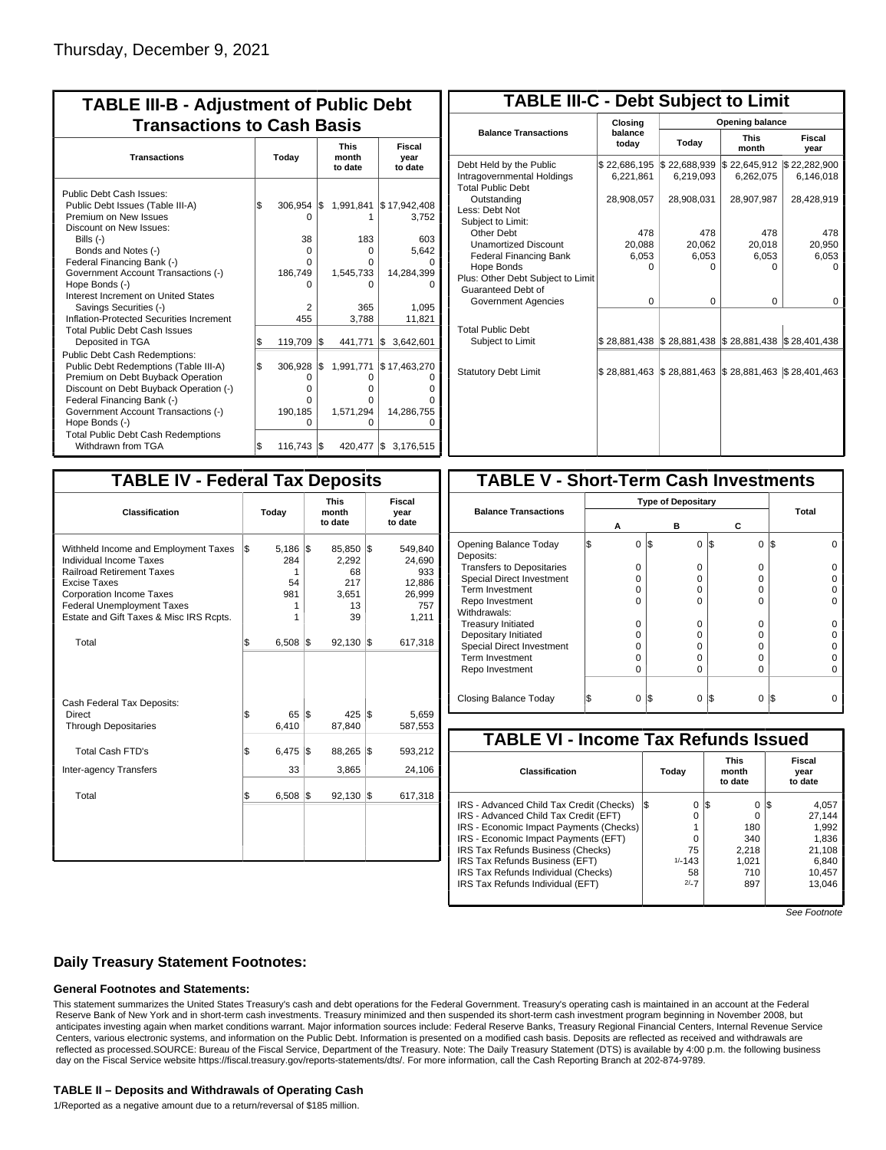| <b>TABLE III-B - Adjustment of Public Debt</b><br><b>Transactions to Cash Basis</b>                                                                                                                                                                                                                                                                      |          |                                                               |           |                                                              |                                                                        |  |  |  |  |  |
|----------------------------------------------------------------------------------------------------------------------------------------------------------------------------------------------------------------------------------------------------------------------------------------------------------------------------------------------------------|----------|---------------------------------------------------------------|-----------|--------------------------------------------------------------|------------------------------------------------------------------------|--|--|--|--|--|
| <b>Transactions</b>                                                                                                                                                                                                                                                                                                                                      |          | Today                                                         |           | <b>This</b><br>month<br>to date                              | Fiscal<br>year<br>to date                                              |  |  |  |  |  |
| Public Debt Cash Issues:<br>Public Debt Issues (Table III-A)<br>Premium on New Issues<br>Discount on New Issues:<br>Bills (-)<br>Bonds and Notes (-)<br>Federal Financing Bank (-)<br>Government Account Transactions (-)<br>Hope Bonds (-)<br>Interest Increment on United States<br>Savings Securities (-)<br>Inflation-Protected Securities Increment | \$       | $306,954$ \$<br>O<br>38<br>0<br>O<br>186,749<br>n<br>2<br>455 |           | 1,991,841<br>183<br>0<br>O<br>1,545,733<br>O<br>365<br>3,788 | \$17,942,408<br>3.752<br>603<br>5,642<br>14,284,399<br>1,095<br>11,821 |  |  |  |  |  |
| <b>Total Public Debt Cash Issues</b><br>Deposited in TGA<br><b>Public Debt Cash Redemptions:</b><br>Public Debt Redemptions (Table III-A)<br>Premium on Debt Buyback Operation<br>Discount on Debt Buyback Operation (-)<br>Federal Financing Bank (-)                                                                                                   | \$<br>\$ | 119,709<br>306,928<br>0<br>O<br>0                             | l\$<br>\$ | 441,771<br>1,991,771<br>0<br>0<br>O                          | 3,642,601<br>l\$<br>\$17,463,270                                       |  |  |  |  |  |
| Government Account Transactions (-)<br>Hope Bonds (-)<br><b>Total Public Debt Cash Redemptions</b><br>Withdrawn from TGA                                                                                                                                                                                                                                 | l\$      | 190,185<br>$\Omega$<br>116,743                                | l\$       | 1,571,294<br>0<br>420,477                                    | 14,286,755<br>3,176,515<br>1\$                                         |  |  |  |  |  |

| <b>TABLE III-C - Debt Subject to Limit</b>                                        |                           |                                                     |                           |                           |
|-----------------------------------------------------------------------------------|---------------------------|-----------------------------------------------------|---------------------------|---------------------------|
|                                                                                   | Closina                   |                                                     | Opening balance           |                           |
| <b>Balance Transactions</b>                                                       | balance<br>today          | Today                                               | <b>This</b><br>month      | Fiscal<br>year            |
| Debt Held by the Public<br>Intragovernmental Holdings<br><b>Total Public Debt</b> | \$22,686,195<br>6,221,861 | \$22,688,939<br>6,219,093                           | \$22,645,912<br>6,262,075 | \$22,282,900<br>6.146.018 |
| Outstanding<br>Less: Debt Not<br>Subject to Limit:                                | 28,908,057                | 28,908,031                                          | 28,907,987                | 28,428,919                |
| Other Debt                                                                        | 478                       | 478                                                 | 478                       | 478                       |
| <b>Unamortized Discount</b>                                                       | 20,088                    | 20,062                                              | 20,018                    | 20,950                    |
| <b>Federal Financing Bank</b>                                                     | 6,053                     | 6,053                                               | 6,053                     | 6,053                     |
| Hope Bonds                                                                        | O                         | O                                                   | O                         | $\Omega$                  |
| Plus: Other Debt Subject to Limit<br>Guaranteed Debt of                           |                           |                                                     |                           |                           |
| Government Agencies                                                               | $\Omega$                  | $\Omega$                                            | $\Omega$                  | 0                         |
| <b>Total Public Debt</b><br>Subject to Limit                                      |                           | \$28,881,438 \$28,881,438 \$28,881,438 \$28,401,438 |                           |                           |
|                                                                                   |                           |                                                     |                           |                           |
| <b>Statutory Debt Limit</b>                                                       |                           | \$28,881,463 \$28,881,463                           | \$28,881,463              | \$28,401,463              |
|                                                                                   |                           |                                                     |                           |                           |

| <b>TABLE IV - Federal Tax Deposits</b>                                                                                                                                                                                                        |                                                |     |                                                   |     |                                                              |
|-----------------------------------------------------------------------------------------------------------------------------------------------------------------------------------------------------------------------------------------------|------------------------------------------------|-----|---------------------------------------------------|-----|--------------------------------------------------------------|
| <b>Classification</b>                                                                                                                                                                                                                         | Today                                          |     | <b>This</b><br>month<br>to date                   |     | Fiscal<br>year<br>to date                                    |
| Withheld Income and Employment Taxes<br>Individual Income Taxes<br><b>Railroad Retirement Taxes</b><br><b>Excise Taxes</b><br><b>Corporation Income Taxes</b><br><b>Federal Unemployment Taxes</b><br>Estate and Gift Taxes & Misc IRS Rcpts. | \$<br>5,186<br>284<br>1<br>54<br>981<br>1<br>1 | l\$ | 85,850<br>2,292<br>68<br>217<br>3,651<br>13<br>39 | l\$ | 549,840<br>24,690<br>933<br>12,886<br>26,999<br>757<br>1,211 |
| Total                                                                                                                                                                                                                                         | \$<br>$6,508$ $\sqrt{3}$                       |     | $92,130$ \$                                       |     | 617,318                                                      |
| Cash Federal Tax Deposits:<br>Direct<br><b>Through Depositaries</b>                                                                                                                                                                           | \$<br>65<br>6,410                              | l\$ | 425 S<br>87,840                                   |     | 5,659<br>587,553                                             |
| <b>Total Cash FTD's</b><br><b>Inter-agency Transfers</b>                                                                                                                                                                                      | \$<br>6,475<br>33                              | l\$ | 88,265<br>3,865                                   | l\$ | 593,212<br>24,106                                            |
| Total                                                                                                                                                                                                                                         | \$<br>6,508                                    | 1\$ | 92,130                                            | 1\$ | 617,318                                                      |
|                                                                                                                                                                                                                                               |                                                |     |                                                   |     |                                                              |

| <b>TABLE V - Short-Term Cash Investments</b> |   |   |                           |          |                 |     |       |  |  |  |
|----------------------------------------------|---|---|---------------------------|----------|-----------------|-----|-------|--|--|--|
|                                              |   |   | <b>Type of Depositary</b> |          |                 |     |       |  |  |  |
| <b>Balance Transactions</b>                  | А |   | в                         |          | С               |     | Total |  |  |  |
| Opening Balance Today<br>Deposits:           |   | 0 | I\$                       | $\Omega$ | $\Omega$<br>1\$ | I\$ |       |  |  |  |
| <b>Transfers to Depositaries</b>             |   | O |                           | O        | 0               |     |       |  |  |  |
| <b>Special Direct Investment</b>             |   | O |                           | Ω        | 0               |     |       |  |  |  |
| <b>Term Investment</b>                       |   | Ω |                           | Ω        | 0               |     |       |  |  |  |
| Repo Investment                              |   | ი |                           | ი        | 0               |     |       |  |  |  |
| Withdrawals:                                 |   |   |                           |          |                 |     |       |  |  |  |
| <b>Treasury Initiated</b>                    |   | O |                           | O        | 0               |     |       |  |  |  |
| Depositary Initiated                         |   | Ω |                           | Ω        | U               |     |       |  |  |  |
| <b>Special Direct Investment</b>             |   | Ω |                           | Ω        | 0               |     |       |  |  |  |
| <b>Term Investment</b>                       |   | Ω |                           | Ω        | 0               |     |       |  |  |  |
| Repo Investment                              |   | O |                           | Ω        | 0               |     |       |  |  |  |
|                                              |   |   |                           |          |                 |     |       |  |  |  |
| Closing Balance Today                        |   | 0 | I\$                       | 0        | S<br>$\Omega$   | l\$ |       |  |  |  |

| <b>TABLE VI - Income Tax Refunds Issued</b> |     |          |     |                                 |  |                           |  |  |  |  |  |
|---------------------------------------------|-----|----------|-----|---------------------------------|--|---------------------------|--|--|--|--|--|
| Classification                              |     | Today    |     | <b>This</b><br>month<br>to date |  | Fiscal<br>year<br>to date |  |  |  |  |  |
| IRS - Advanced Child Tax Credit (Checks)    | l\$ | 0        | 1\$ | 0                               |  | 4,057                     |  |  |  |  |  |
| IRS - Advanced Child Tax Credit (EFT)       |     | 0        |     | $\Omega$                        |  | 27.144                    |  |  |  |  |  |
| IRS - Economic Impact Payments (Checks)     |     |          |     | 180                             |  | 1.992                     |  |  |  |  |  |
| IRS - Economic Impact Payments (EFT)        |     | O        |     | 340                             |  | 1,836                     |  |  |  |  |  |
| IRS Tax Refunds Business (Checks)           |     | 75       |     | 2.218                           |  | 21.108                    |  |  |  |  |  |
| IRS Tax Refunds Business (EFT)              |     | $1/-143$ |     | 1.021                           |  | 6,840                     |  |  |  |  |  |
| IRS Tax Refunds Individual (Checks)         |     | 58       |     | 710                             |  | 10,457                    |  |  |  |  |  |
| IRS Tax Refunds Individual (EFT)            |     | $2/-7$   |     | 897                             |  | 13.046                    |  |  |  |  |  |
|                                             |     |          |     |                                 |  |                           |  |  |  |  |  |

See Footnote

### **Daily Treasury Statement Footnotes:**

#### **General Footnotes and Statements:**

This statement summarizes the United States Treasury's cash and debt operations for the Federal Government. Treasury's operating cash is maintained in an account at the Federal Reserve Bank of New York and in short-term cash investments. Treasury minimized and then suspended its short-term cash investment program beginning in November 2008, but anticipates investing again when market conditions warrant. Major information sources include: Federal Reserve Banks, Treasury Regional Financial Centers, Internal Revenue Service Centers, various electronic systems, and information on the Public Debt. Information is presented on a modified cash basis. Deposits are reflected as received and withdrawals are reflected as processed.SOURCE: Bureau of the Fiscal Service, Department of the Treasury. Note: The Daily Treasury Statement (DTS) is available by 4:00 p.m. the following business day on the Fiscal Service website https://fiscal.treasury.gov/reports-statements/dts/. For more information, call the Cash Reporting Branch at 202-874-9789.

#### **TABLE II – Deposits and Withdrawals of Operating Cash**

1/Reported as a negative amount due to a return/reversal of \$185 million.